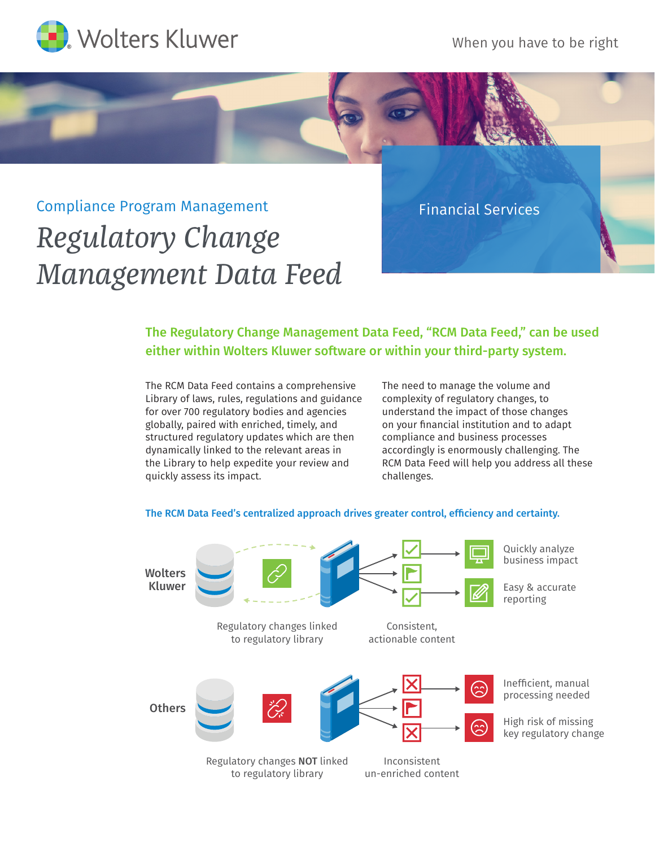

When you have to be right

## Compliance Program Management *Regulatory Change Management Data Feed*

Financial Services

## The Regulatory Change Management Data Feed, "RCM Data Feed," can be used either within Wolters Kluwer software or within your third-party system.

The RCM Data Feed contains a comprehensive Library of laws, rules, regulations and guidance for over 700 regulatory bodies and agencies globally, paired with enriched, timely, and structured regulatory updates which are then dynamically linked to the relevant areas in the Library to help expedite your review and quickly assess its impact.

The need to manage the volume and complexity of regulatory changes, to understand the impact of those changes on your financial institution and to adapt compliance and business processes accordingly is enormously challenging. The RCM Data Feed will help you address all these challenges.



## The RCM Data Feed's centralized approach drives greater control, efficiency and certainty.